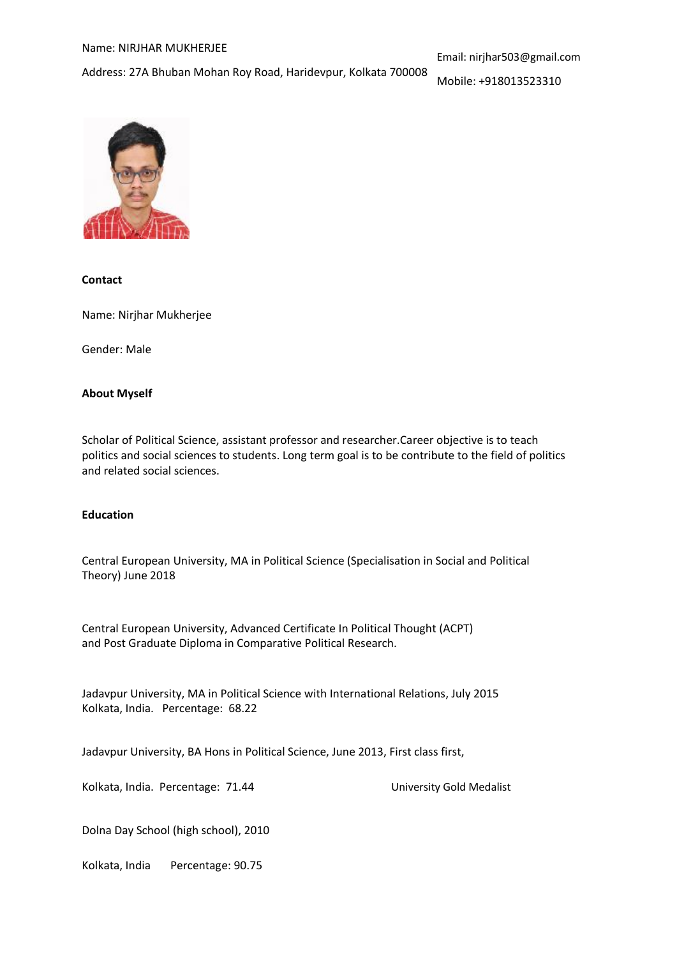#### Name: NIRJHAR MUKHERJEE

Address: 27A Bhuban Mohan Roy Road, Haridevpur, Kolkata 700008

Mobile: +918013523310



# **Contact**

Name: Nirjhar Mukherjee

Gender: Male

## **About Myself**

Scholar of Political Science, assistant professor and researcher.Career objective is to teach politics and social sciences to students. Long term goal is to be contribute to the field of politics and related social sciences.

## **Education**

Central European University, MA in Political Science (Specialisation in Social and Political Theory) June 2018

Central European University, Advanced Certificate In Political Thought (ACPT) and Post Graduate Diploma in Comparative Political Research.

Jadavpur University, MA in Political Science with International Relations, July 2015 Kolkata, India. Percentage: 68.22

Jadavpur University, BA Hons in Political Science, June 2013, First class first,

Kolkata, India. Percentage: 71.44 University Gold Medalist

Dolna Day School (high school), 2010

Kolkata, India Percentage: 90.75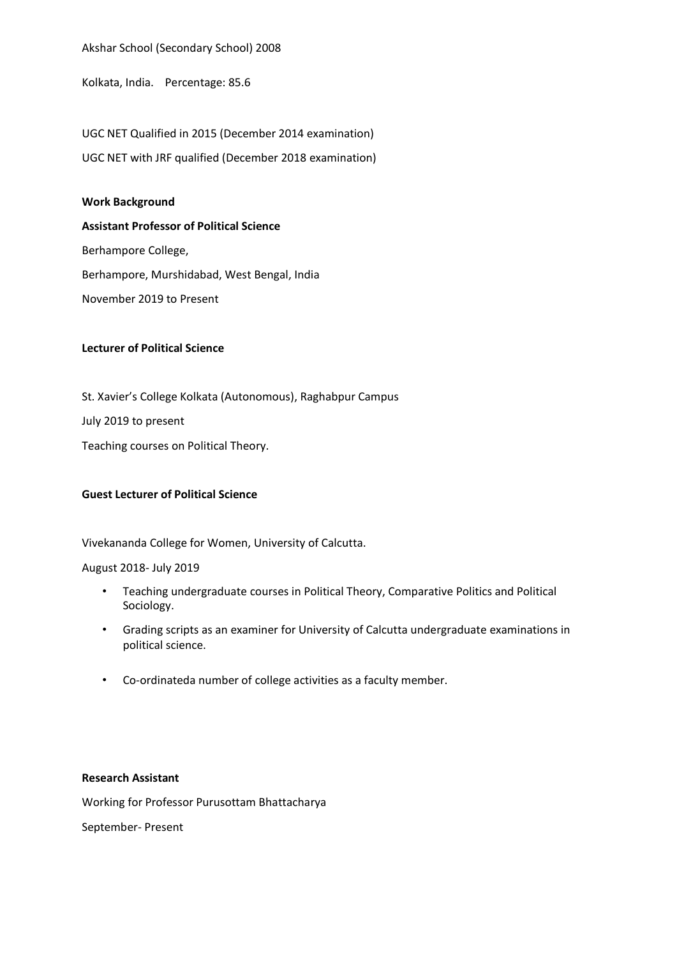Akshar School (Secondary School) 2008

Kolkata, India. Percentage: 85.6

UGC NET Qualified in 2015 (December 2014 examination) UGC NET with JRF qualified (December 2018 examination)

### **Work Background**

**Assistant Professor of Political Science** Berhampore College, Berhampore, Murshidabad, West Bengal, India November 2019 to Present

### **Lecturer of Political Science**

St. Xavier's College Kolkata (Autonomous), Raghabpur Campus July 2019 to present Teaching courses on Political Theory.

## **Guest Lecturer of Political Science**

Vivekananda College for Women, University of Calcutta.

#### August 2018- July 2019

- Teaching undergraduate courses in Political Theory, Comparative Politics and Political Sociology.
- Grading scripts as an examiner for University of Calcutta undergraduate examinations in political science.
- Co-ordinateda number of college activities as a faculty member.

### **Research Assistant**

Working for Professor Purusottam Bhattacharya

September- Present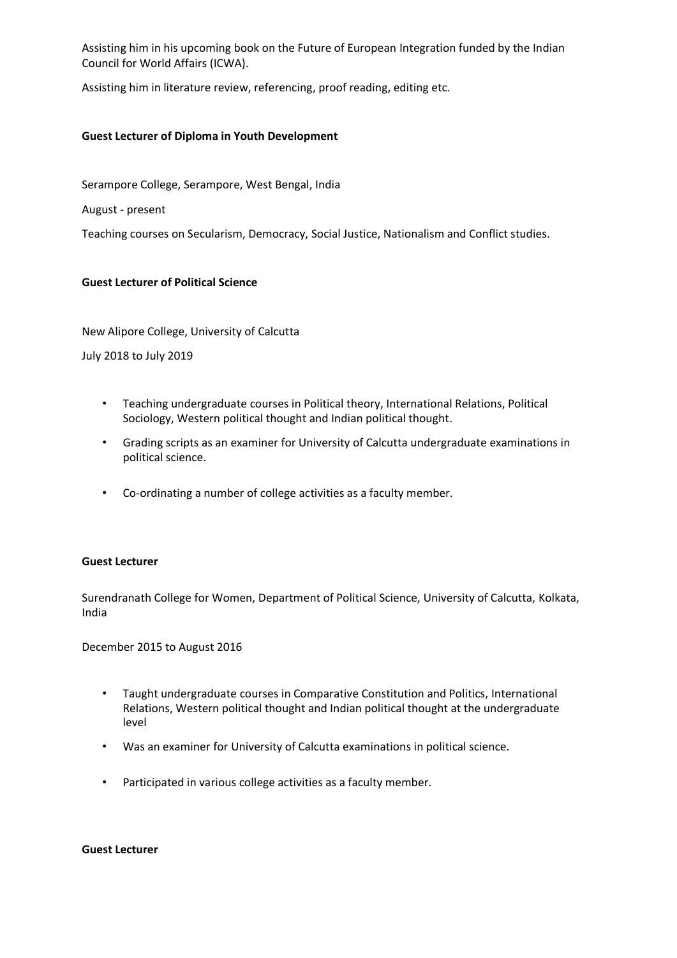Assisting him in his upcoming book on the Future of European Integration funded by the Indian Council for World Affairs (ICWA).

Assisting him in literature review, referencing, proof reading, editing etc.

### **Guest Lecturer of Diploma in Youth Development**

Serampore College, Serampore, West Bengal, India

August - present

Teaching courses on Secularism, Democracy, Social Justice, Nationalism and Conflict studies.

### **Guest Lecturer of Political Science**

New Alipore College, University of Calcutta

July 2018 to July 2019

- Teaching undergraduate courses in Political theory, International Relations, Political Sociology, Western political thought and Indian political thought.
- Grading scripts as an examiner for University of Calcutta undergraduate examinations in political science.
- Co-ordinating a number of college activities as a faculty member.

#### **Guest Lecturer**

Surendranath College for Women, Department of Political Science, University of Calcutta, Kolkata, India

December 2015 to August 2016

- Taught undergraduate courses in Comparative Constitution and Politics, International Relations, Western political thought and Indian political thought at the undergraduate level
- Was an examiner for University of Calcutta examinations in political science.
- Participated in various college activities as a faculty member.

**Guest Lecturer**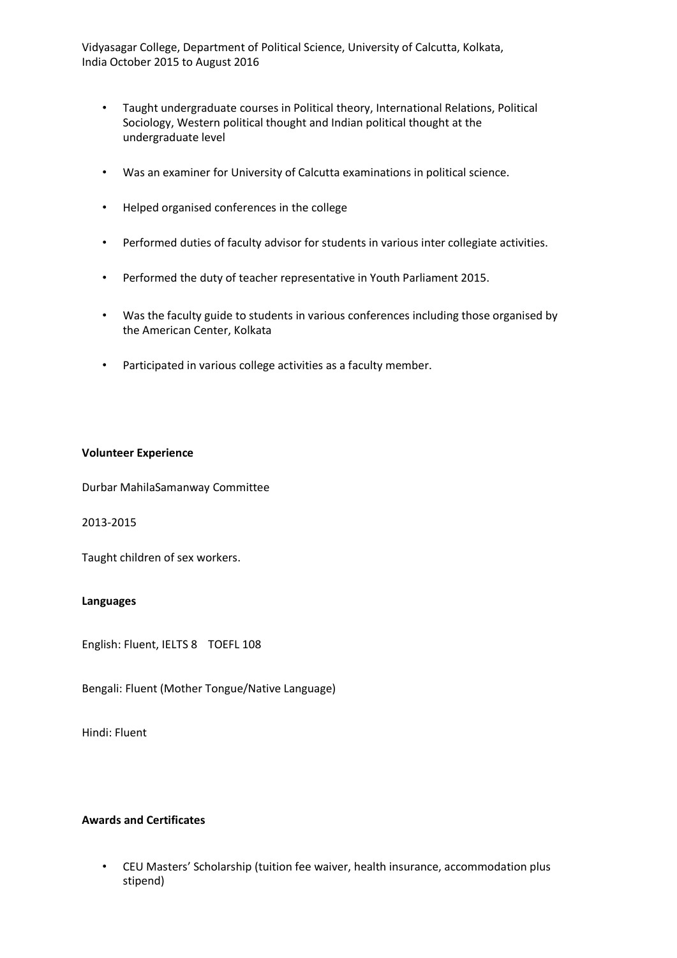Vidyasagar College, Department of Political Science, University of Calcutta, Kolkata, India October 2015 to August 2016

- Taught undergraduate courses in Political theory, International Relations, Political Sociology, Western political thought and Indian political thought at the undergraduate level
- Was an examiner for University of Calcutta examinations in political science.
- Helped organised conferences in the college
- Performed duties of faculty advisor for students in various inter collegiate activities.
- Performed the duty of teacher representative in Youth Parliament 2015.
- Was the faculty guide to students in various conferences including those organised by the American Center, Kolkata
- Participated in various college activities as a faculty member.

## **Volunteer Experience**

Durbar MahilaSamanway Committee

2013-2015

Taught children of sex workers.

#### **Languages**

English: Fluent, IELTS 8 TOEFL 108

Bengali: Fluent (Mother Tongue/Native Language)

Hindi: Fluent

## **Awards and Certificates**

• CEU Masters' Scholarship (tuition fee waiver, health insurance, accommodation plus stipend)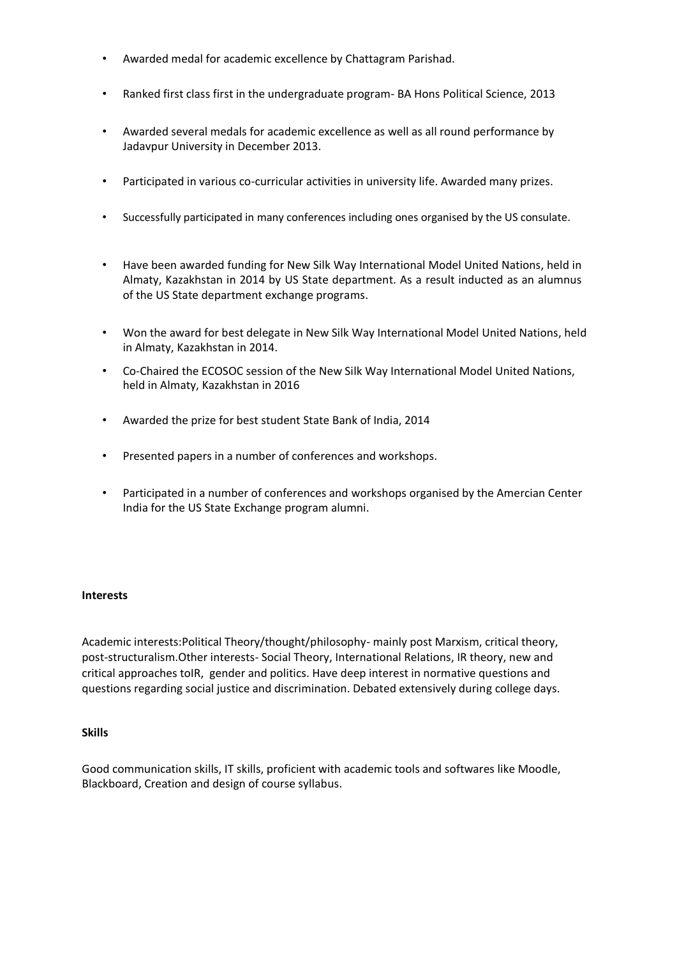- Awarded medal for academic excellence by Chattagram Parishad.
- Ranked first class first in the undergraduate program- BA Hons Political Science, 2013
- Awarded several medals for academic excellence as well as all round performance by Jadavpur University in December 2013.
- Participated in various co-curricular activities in university life. Awarded many prizes.
- Successfully participated in many conferences including ones organised by the US consulate.
- Have been awarded funding for New Silk Way International Model United Nations, held in Almaty, Kazakhstan in 2014 by US State department. As a result inducted as an alumnus of the US State department exchange programs.
- Won the award for best delegate in New Silk Way International Model United Nations, held in Almaty, Kazakhstan in 2014.
- Co-Chaired the ECOSOC session of the New Silk Way International Model United Nations, held in Almaty, Kazakhstan in 2016
- Awarded the prize for best student State Bank of India, 2014
- Presented papers in a number of conferences and workshops.
- Participated in a number of conferences and workshops organised by the Amercian Center India for the US State Exchange program alumni.

## **Interests**

Academic interests:Political Theory/thought/philosophy- mainly post Marxism, critical theory, post-structuralism.Other interests- Social Theory, International Relations, IR theory, new and critical approaches toIR, gender and politics. Have deep interest in normative questions and questions regarding social justice and discrimination. Debated extensively during college days.

## **Skills**

Good communication skills, IT skills, proficient with academic tools and softwares like Moodle, Blackboard, Creation and design of course syllabus.